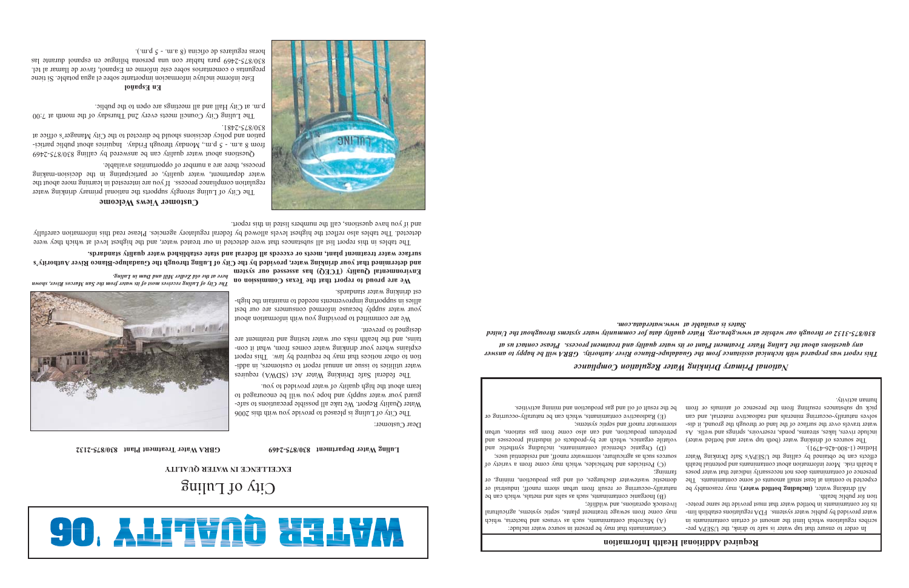#### **En Español**

Este informe incluye informacion importante sobre el agua potable. Si tiene preguntas o comentarios sobre este informe en Espanol, favor de llamar al tel. 830/875-2469 para hablar con una persona bilingue en espanol durante las horas regulares de oficina (8 a.m. - 5 p.m.).



# 90. ALITVOD XXIVA

## City of Luling

## **EXCELLENCE IN WATER QUALITY**

The federal Safe Drinking Water Act (SDWA) requires water utilities to issue an annual report to customers, in addition to other notices that may be required by law. This report explains where your drinking water comes from, what it contains, and the health risks our water testing and treatment are designed to prevent.

#### **Luling Water Department 830/875-2469 GBRA Water Treatment Plant 830/875-2132**

Dear Customer:

The City of Luling is pleased to provide you with this 2006 Water Quality Report. We take all possible precautions to safeguard your water supply and hope you will be encouraged to learn about the high quality of water provided to you.

We are committed to providing you with information about your water supply because informed consumers are our best allies in supporting improvements needed to maintain the highest drinking water standards.

We are proud to report that the Texas Commission on **Environmental Quality (TCEQ) has assessed our system**

The tables in this report list all substances that were detected in our treated water, and the highest level at which they were ully detected. The tables also reflect the highest levels allowed by federal regulatory agencies. Please read this information caref and if you have questions, call the numbers listed in this report.

The Luling City Council meets every 2nd Thursday of the month at 7:00 p.m. at City Hall and all meetings are open to the public.

| .υμ | ad <sup>T</sup> attragametrico amos to atmome llema tagal te nightoo of batoarxa |
|-----|----------------------------------------------------------------------------------|
| ıeu | All drinking water, (including bottled water), may reasonably be                 |
|     | tion for public health.                                                          |
| ΛIJ | its for contaminants in bottled water that nust provide the same protec-         |
| sш  | water provided by public water systems. FDA regulations establish lim-           |
|     | scribes regulations which limit the annount of certain contaminants in           |
|     | In order to ensure that tap water is safe to drink, the USEPA pre-               |

**and determined that your drinking water, provided by the City of Luling through the Guadalupe-Blanco River Authority's surface water treatment plant, meets or exceeds all federal and state established water quality standards.**

> Contaminants that may be present in source water include: (A) Microbial contaminants, such as viruses and bacteria, which may come from sewage treatment plants, septic systems, agricultural estock operations, and wildlife;

#### **Customer Views Welcome**

The City of Luling strongly supports the national primary drinking water regulation compliance process. If you are interested in learning more about the water department, water quality, or participating in the decision-making process, there are a number of opportunities available.

Questions about water quality can be answered by calling 830/875-2469 from 8 a.m. 5 p.m., Monday through Friday. Inputies about public participation and policy decisions should be directed to the City Manager's office at 830/875-2481.



*here at the old Zedler Mill and Dam in Luling.*

expected to contain at least small amounts of some contaminants. The presence of contaminants does not necessarily indicate that water poses a health risk. More information about contaminants and potential health effects can be obtained by calling the USEPA's Safe Drinking Water  $(162 + 92 + 008 - 1)$  anilioH domestic wastewater discharges, oil and gas production, mining, or  $301$ (C) Pesticides and herbicides, which may come from a variety of sources such as agriculture, stormwater runoff, and residential uses;

The sources of drinking water (both tap water and bottled water) include rivers, lakes, streams, ponds, reservoirs, springs and wells. As water travels over the surface of the land or through the ground, it dissolves naturally-occurring minerals and radioactive material, and can pick up substances resulting from the presence of animals or from human activity. stormwater runoff and septic systems; be the result of oil and gas production and mining activities.

(B) Inorganic contaminants, such as salts and metals, which can be naturally-occurring or result from urban storm runoff, industrial or

(D) Organic chemical contaminants, including synthetic and volatile organics, which are by-products of industrial processes and petroleum production, and can also come from gas stations, urban

(E) Radioactive contaminants, which can be naturally-occurring or

## **Required Additional Health Information**

### *National Primary Drinking Water Regulation Compliance*

*This report was prepared with technical assistance from the Guadalupe-Blanco River Authority. GBRA will be happy to answer any questions about the Luling Water Treatment Plant or its water quality and treatment process. Please contact us at* 

*830/875-3132 or through our website at www.gbra.org. Water quality data for community water systems throughout the United States is available at www.waterdata.com.*